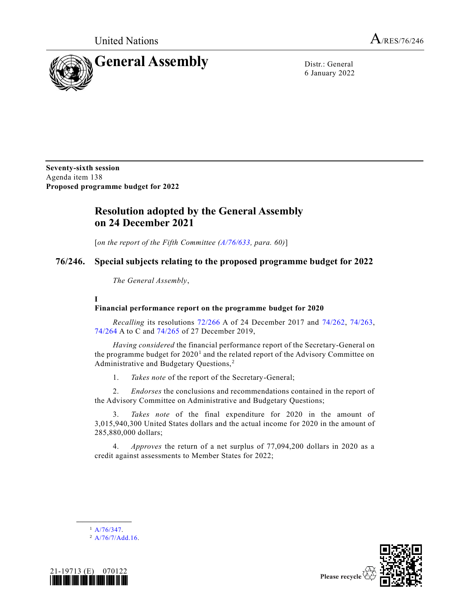

6 January 2022

**Seventy-sixth session** Agenda item 138 **Proposed programme budget for 2022**

# **Resolution adopted by the General Assembly on 24 December 2021**

[*on the report of the Fifth Committee [\(A/76/633,](https://undocs.org/en/A/76/633) para. 60)*]

## **76/246. Special subjects relating to the proposed programme budget for 2022**

*The General Assembly*,

**I**

## **Financial performance report on the programme budget for 2020**

*Recalling* its resolutions [72/266](https://undocs.org/en/A/RES/72/266a) A of 24 December 2017 and [74/262,](https://undocs.org/en/A/RES/74/262) [74/263,](https://undocs.org/en/A/RES/74/263) [74/264](https://undocs.org/en/A/RES/74/264a-c) A to C and [74/265](https://undocs.org/en/A/RES/74/265) of 27 December 2019,

*Having considered* the financial performance report of the Secretary-General on the programme budget for  $2020<sup>1</sup>$  and the related report of the Advisory Committee on Administrative and Budgetary Questions, <sup>2</sup>

1. *Takes note* of the report of the Secretary-General;

2. *Endorses* the conclusions and recommendations contained in the report of the Advisory Committee on Administrative and Budgetary Questions;

3. *Takes note* of the final expenditure for 2020 in the amount of 3,015,940,300 United States dollars and the actual income for 2020 in the amount of 285,880,000 dollars;

4. *Approves* the return of a net surplus of 77,094,200 dollars in 2020 as a credit against assessments to Member States for 2022;



 $^{2}$  [A/76/7/Add.16.](https://undocs.org/en/A/76/7/Add.16)



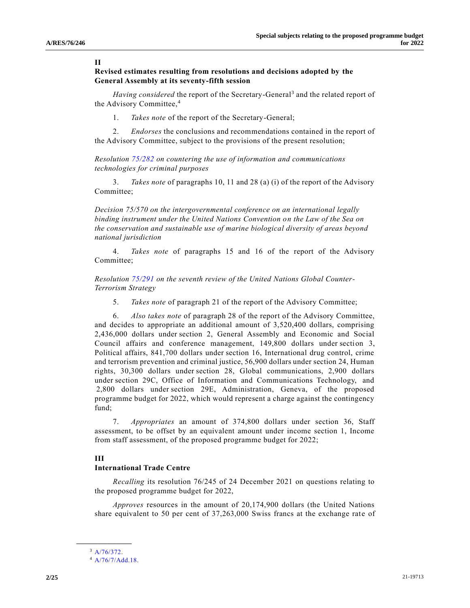#### **II**

## **Revised estimates resulting from resolutions and decisions adopted by the General Assembly at its seventy-fifth session**

Having considered the report of the Secretary-General<sup>3</sup> and the related report of the Advisory Committee,<sup>4</sup>

1. *Takes note* of the report of the Secretary-General;

2. *Endorses* the conclusions and recommendations contained in the report of the Advisory Committee, subject to the provisions of the present resolution;

*Resolution [75/282](https://undocs.org/en/A/RES/75/282) on countering the use of information and communications technologies for criminal purposes*

3. *Takes note* of paragraphs 10, 11 and 28 (a) (i) of the report of the Advisory Committee;

*Decision 75/570 on the intergovernmental conference on an international legally binding instrument under the United Nations Convention on the Law of the Sea on the conservation and sustainable use of marine biological diversity of areas beyond national jurisdiction*

4. *Takes note* of paragraphs 15 and 16 of the report of the Advisory Committee;

*Resolution [75/291](https://undocs.org/en/A/RES/75/291) on the seventh review of the United Nations Global Counter-Terrorism Strategy*

5. *Takes note* of paragraph 21 of the report of the Advisory Committee;

6. *Also takes note* of paragraph 28 of the report of the Advisory Committee, and decides to appropriate an additional amount of 3,520,400 dollars, comprising 2,436,000 dollars under section 2, General Assembly and Economic and Social Council affairs and conference management, 149,800 dollars under section 3, Political affairs, 841,700 dollars under section 16, International drug control, crime and terrorism prevention and criminal justice, 56,900 dollars under section 24, Human rights, 30,300 dollars under section 28, Global communications, 2,900 dollars under section 29C, Office of Information and Communications Technology,  and  2,800 dollars under section 29E, Administration, Geneva, of the proposed programme budget for 2022, which would represent a charge against the contingency fund;

7. *Appropriates* an amount of 374,800 dollars under section 36, Staff assessment, to be offset by an equivalent amount under income section 1, Income from staff assessment, of the proposed programme budget for 2022;

#### **III**

#### **International Trade Centre**

*Recalling* its resolution 76/245 of 24 December 2021 on questions relating to the proposed programme budget for 2022,

*Approves* resources in the amount of 20,174,900 dollars (the United Nations share equivalent to 50 per cent of 37,263,000 Swiss francs at the exchange rate of

**\_\_\_\_\_\_\_\_\_\_\_\_\_\_\_\_\_\_** <sup>3</sup> [A/76/372.](https://undocs.org/en/A/76/372)

<sup>4</sup> [A/76/7/Add.18.](https://undocs.org/en/A/76/7/Add.18)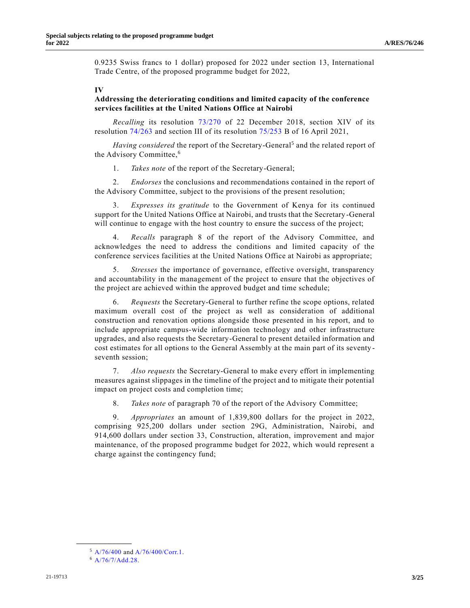0.9235 Swiss francs to 1 dollar) proposed for 2022 under section 13, International Trade Centre, of the proposed programme budget for 2022,

#### **IV**

## **Addressing the deteriorating conditions and limited capacity of the conference services facilities at the United Nations Office at Nairobi**

*Recalling* its resolution [73/270](https://undocs.org/en/A/RES/73/270) of 22 December 2018, section XIV of its resolution [74/263](https://undocs.org/en/A/RES/74/263) and section III of its resolution [75/253](https://undocs.org/en/A/RES/75/253b) B of 16 April 2021,

Having considered the report of the Secretary-General<sup>5</sup> and the related report of the Advisory Committee,<sup>6</sup>

1. *Takes note* of the report of the Secretary-General;

2. *Endorses* the conclusions and recommendations contained in the report of the Advisory Committee, subject to the provisions of the present resolution;

3. *Expresses its gratitude* to the Government of Kenya for its continued support for the United Nations Office at Nairobi, and trusts that the Secretary-General will continue to engage with the host country to ensure the success of the project;

4. *Recalls* paragraph 8 of the report of the Advisory Committee, and acknowledges the need to address the conditions and limited capacity of the conference services facilities at the United Nations Office at Nairobi as appropriate;

5. *Stresses* the importance of governance, effective oversight, transparency and accountability in the management of the project to ensure that the objectives of the project are achieved within the approved budget and time schedule;

6. *Requests* the Secretary-General to further refine the scope options, related maximum overall cost of the project as well as consideration of additional construction and renovation options alongside those presented in his report, and to include appropriate campus-wide information technology and other infrastructure upgrades, and also requests the Secretary-General to present detailed information and cost estimates for all options to the General Assembly at the main part of its seventy seventh session;

7. *Also requests* the Secretary-General to make every effort in implementing measures against slippages in the timeline of the project and to mitigate their potential impact on project costs and completion time;

8. *Takes note* of paragraph 70 of the report of the Advisory Committee;

9. *Appropriates* an amount of 1,839,800 dollars for the project in 2022, comprising 925,200 dollars under section 29G, Administration, Nairobi, and 914,600 dollars under section 33, Construction, alteration, improvement and major maintenance, of the proposed programme budget for 2022, which would represent a charge against the contingency fund;

**\_\_\_\_\_\_\_\_\_\_\_\_\_\_\_\_\_\_**

<sup>5</sup> [A/76/400](https://undocs.org/en/A/76/400) and [A/76/400/Corr.1.](https://undocs.org/en/A/76/400/Corr.1)

 $6$  [A/76/7/Add.28.](https://undocs.org/en/A/76/7/Add.28)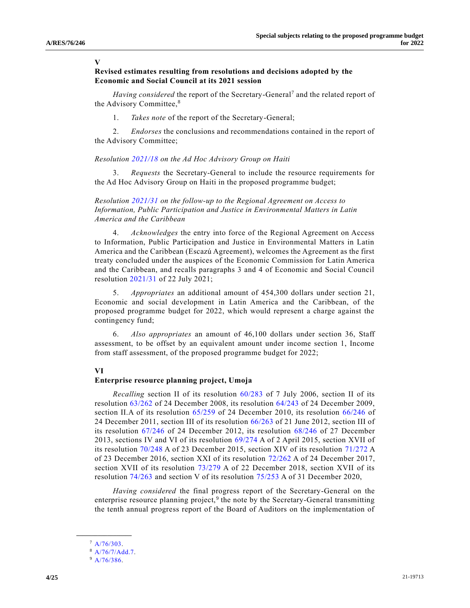#### **V**

## **Revised estimates resulting from resolutions and decisions adopted by the Economic and Social Council at its 2021 session**

Having considered the report of the Secretary-General<sup>7</sup> and the related report of the Advisory Committee,<sup>8</sup>

1. *Takes note* of the report of the Secretary-General;

2. *Endorses* the conclusions and recommendations contained in the report of the Advisory Committee;

#### *Resolution [2021/18](https://undocs.org/en/E/RES/2021/18) on the Ad Hoc Advisory Group on Haiti*

3. *Requests* the Secretary-General to include the resource requirements for the Ad Hoc Advisory Group on Haiti in the proposed programme budget;

## *Resolution [2021/31](https://undocs.org/en/E/RES/2021/31) on the follow-up to the Regional Agreement on Access to Information, Public Participation and Justice in Environmental Matters in Latin America and the Caribbean*

4. *Acknowledges* the entry into force of the Regional Agreement on Access to Information, Public Participation and Justice in Environmental Matters in Latin America and the Caribbean (Escazú Agreement), welcomes the Agreement as the first treaty concluded under the auspices of the Economic Commission for Latin America and the Caribbean, and recalls paragraphs 3 and 4 of Economic and Social Council resolution [2021/31](https://undocs.org/en/E/RES/2021/31) of 22 July 2021;

5. *Appropriates* an additional amount of 454,300 dollars under section 21, Economic and social development in Latin America and the Caribbean, of the proposed programme budget for 2022, which would represent a charge against the contingency fund;

6. *Also appropriates* an amount of 46,100 dollars under section 36, Staff assessment, to be offset by an equivalent amount under income section 1, Income from staff assessment, of the proposed programme budget for 2022;

#### **VI**

#### **Enterprise resource planning project, Umoja**

*Recalling* section II of its resolution [60/283](https://undocs.org/en/A/RES/60/283) of 7 July 2006, section II of its resolution [63/262](https://undocs.org/en/A/RES/63/262) of 24 December 2008, its resolution [64/243](https://undocs.org/en/A/RES/64/243) of 24 December 2009, section II.A of its resolution [65/259](https://undocs.org/en/A/RES/65/259) of 24 December 2010, its resolution [66/246](https://undocs.org/en/A/RES/66/246) of 24 December 2011, section III of its resolution [66/263](https://undocs.org/en/A/RES/66/263) of 21 June 2012, section III of its resolution [67/246](https://undocs.org/en/A/RES/67/246) of 24 December 2012, its resolution [68/246](https://undocs.org/en/A/RES/68/246) of 27 December 2013, sections IV and VI of its resolution [69/274](https://undocs.org/en/A/RES/69/274) A of 2 April 2015, section XVII of its resolution [70/248](https://undocs.org/en/A/RES/70/248) A of 23 December 2015, section XIV of its resolution [71/272](https://undocs.org/en/A/RES/71/272) A of 23 December 2016, section XXI of its resolution [72/262](https://undocs.org/en/A/RES/72/262) A of 24 December 2017, section XVII of its resolution [73/279](https://undocs.org/en/A/RES/73/279) A of 22 December 2018, section XVII of its resolution [74/263](https://undocs.org/en/A/RES/74/263) and section V of its resolution [75/253](https://undocs.org/en/A/RES/75/253) A of 31 December 2020,

*Having considered* the final progress report of the Secretary-General on the enterprise resource planning project,<sup>9</sup> the note by the Secretary-General transmitting the tenth annual progress report of the Board of Auditors on the implementation of

**\_\_\_\_\_\_\_\_\_\_\_\_\_\_\_\_\_\_**  $7 A/76/303.$  $7 A/76/303.$ 

<sup>8</sup> [A/76/7/Add.7.](https://undocs.org/en/A/76/7/Add.7)

 $9$  [A/76/386.](https://undocs.org/en/A/76/386)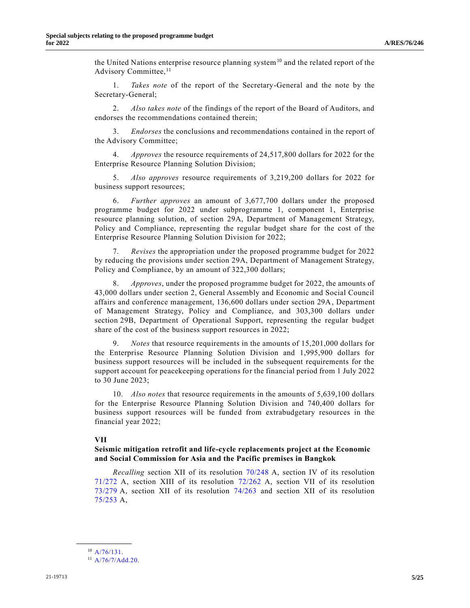the United Nations enterprise resource planning system<sup>10</sup> and the related report of the Advisory Committee,<sup>11</sup>

1. *Takes note* of the report of the Secretary-General and the note by the Secretary-General;

2. *Also takes note* of the findings of the report of the Board of Auditors, and endorses the recommendations contained therein;

3. *Endorses* the conclusions and recommendations contained in the report of the Advisory Committee;

4. *Approves* the resource requirements of 24,517,800 dollars for 2022 for the Enterprise Resource Planning Solution Division;

5. *Also approves* resource requirements of 3,219,200 dollars for 2022 for business support resources;

6. *Further approves* an amount of 3,677,700 dollars under the proposed programme budget for 2022 under subprogramme 1, component 1, Enterprise resource planning solution, of section 29A, Department of Management Strategy, Policy and Compliance, representing the regular budget share for the cost of the Enterprise Resource Planning Solution Division for 2022;

7. *Revises* the appropriation under the proposed programme budget for 2022 by reducing the provisions under section 29A, Department of Management Strategy, Policy and Compliance, by an amount of 322,300 dollars;

8. *Approves*, under the proposed programme budget for 2022, the amounts of 43,000 dollars under section 2, General Assembly and Economic and Social Council affairs and conference management, 136,600 dollars under section 29A, Department of Management Strategy, Policy and Compliance, and 303,300 dollars under section 29B, Department of Operational Support, representing the regular budget share of the cost of the business support resources in 2022;

9. *Notes* that resource requirements in the amounts of 15,201,000 dollars for the Enterprise Resource Planning Solution Division and 1,995,900 dollars for business support resources will be included in the subsequent requirements for the support account for peacekeeping operations for the financial period from 1 July 2022 to 30 June 2023;

10. *Also notes* that resource requirements in the amounts of 5,639,100 dollars for the Enterprise Resource Planning Solution Division and 740,400 dollars for business support resources will be funded from extrabudgetary resources in the financial year 2022;

#### **VII**

#### **Seismic mitigation retrofit and life-cycle replacements project at the Economic and Social Commission for Asia and the Pacific premises in Bangkok**

*Recalling* section XII of its resolution [70/248](https://undocs.org/en/A/RES/70/248) A, section IV of its resolution [71/272](https://undocs.org/en/A/RES/71/272) A, section XIII of its resolution [72/262](https://undocs.org/en/A/RES/72/262) A, section VII of its resolution [73/279](https://undocs.org/en/A/RES/73/279) A, section XII of its resolution [74/263](https://undocs.org/en/A/RES/74/263) and section XII of its resolution [75/253](https://undocs.org/en/A/RES/75/253) A,

**\_\_\_\_\_\_\_\_\_\_\_\_\_\_\_\_\_\_** <sup>10</sup> [A/76/131.](https://undocs.org/en/A/76/131)

<sup>11</sup> [A/76/7/Add.20.](https://undocs.org/en/A/76/7/Add.20)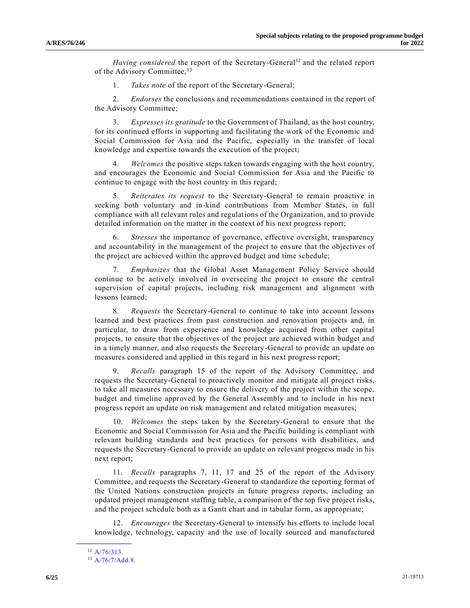*Having considered* the report of the Secretary-General<sup>12</sup> and the related report of the Advisory Committee,<sup>13</sup>

1. *Takes note* of the report of the Secretary-General;

2. *Endorses* the conclusions and recommendations contained in the report of the Advisory Committee;

3. *Expresses its gratitude* to the Government of Thailand, as the host country, for its continued efforts in supporting and facilitating the work of the Economic and Social Commission for Asia and the Pacific, especially in the transfer of local knowledge and expertise towards the execution of the project;

4. *Welcomes* the positive steps taken towards engaging with the host country, and encourages the Economic and Social Commission for Asia and the Pacific to continue to engage with the host country in this regard;

5. *Reiterates its request* to the Secretary-General to remain proactive in seeking both voluntary and in-kind contributions from Member States, in full compliance with all relevant rules and regulations of the Organization, and to provide detailed information on the matter in the context of his next progress report;

6. *Stresses* the importance of governance, effective oversight, transparency and accountability in the management of the project to ensure that the objectives of the project are achieved within the approved budget and time schedule;

7. *Emphasizes* that the Global Asset Management Policy Service should continue to be actively involved in overseeing the project to ensure the central supervision of capital projects, including risk management and alignment with lessons learned;

8. *Requests* the Secretary-General to continue to take into account lessons learned and best practices from past construction and renovation projects and, in particular, to draw from experience and knowledge acquired from other capital projects, to ensure that the objectives of the project are achieved within budget and in a timely manner, and also requests the Secretary-General to provide an update on measures considered and applied in this regard in his next progress report;

9. *Recalls* paragraph 15 of the report of the Advisory Committee, and requests the Secretary-General to proactively monitor and mitigate all project risks, to take all measures necessary to ensure the delivery of the project within the scope, budget and timeline approved by the General Assembly and to include in his next progress report an update on risk management and related mitigation measures;

10. *Welcomes* the steps taken by the Secretary-General to ensure that the Economic and Social Commission for Asia and the Pacific building is compliant with relevant building standards and best practices for persons with disabilities, and requests the Secretary-General to provide an update on relevant progress made in his next report;

11. *Recalls* paragraphs 7, 11, 17 and 25 of the report of the Advisory Committee, and requests the Secretary-General to standardize the reporting format of the United Nations construction projects in future progress reports, including an updated project management staffing table, a comparison of the top five project risks, and the project schedule both as a Gantt chart and in tabular form, as appropriate;

12. *Encourages* the Secretary-General to intensify his efforts to include local knowledge, technology, capacity and the use of locally sourced and manufactured

**\_\_\_\_\_\_\_\_\_\_\_\_\_\_\_\_\_\_**  $12$  [A/76/313.](https://undocs.org/en/A/76/313)

<sup>13</sup> [A/76/7/Add.8.](https://undocs.org/en/A/76/7/Add.8)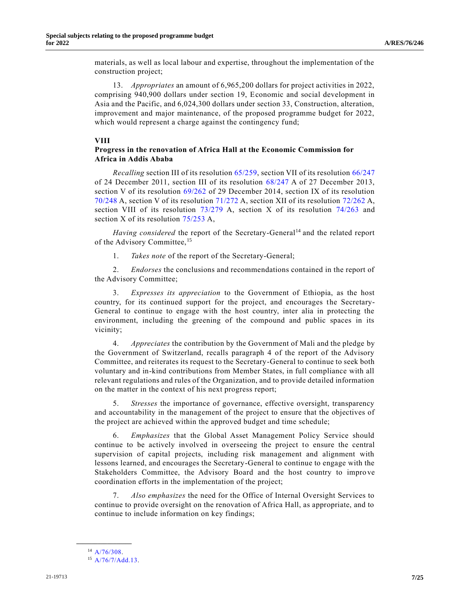materials, as well as local labour and expertise, throughout the implementation of the construction project;

13. *Appropriates* an amount of 6,965,200 dollars for project activities in 2022, comprising 940,900 dollars under section 19, Economic and social development in Asia and the Pacific, and 6,024,300 dollars under section 33, Construction, alteration, improvement and major maintenance, of the proposed programme budget for 2022, which would represent a charge against the contingency fund;

#### **VIII**

## **Progress in the renovation of Africa Hall at the Economic Commission for Africa in Addis Ababa**

*Recalling* section III of its resolution [65/259,](https://undocs.org/en/A/RES/65/259) section VII of its resolution [66/247](https://undocs.org/en/A/RES/66/247) of 24 December 2011, section III of its resolution [68/247](https://undocs.org/en/A/RES/68/247) A of 27 December 2013, section V of its resolution [69/262](https://undocs.org/en/A/RES/69/262) of 29 December 2014, section IX of its resolution [70/248](https://undocs.org/en/A/RES/70/248) A, section V of its resolution [71/272](https://undocs.org/en/A/RES/71/272) A, section XII of its resolution [72/262](https://undocs.org/en/A/RES/72/262) A, section VIII of its resolution  $73/279$  A, section X of its resolution  $74/263$  and section X of its resolution [75/253](https://undocs.org/en/A/RES/75/253) A,

Having considered the report of the Secretary-General<sup>14</sup> and the related report of the Advisory Committee,<sup>15</sup>

1. *Takes note* of the report of the Secretary-General;

2. *Endorses* the conclusions and recommendations contained in the report of the Advisory Committee;

3. *Expresses its appreciation* to the Government of Ethiopia, as the host country, for its continued support for the project, and encourages the Secretary-General to continue to engage with the host country, inter alia in protecting the environment, including the greening of the compound and public spaces in its vicinity;

4. *Appreciates* the contribution by the Government of Mali and the pledge by the Government of Switzerland, recalls paragraph 4 of the report of the Advisory Committee, and reiterates its request to the Secretary-General to continue to seek both voluntary and in-kind contributions from Member States, in full compliance with all relevant regulations and rules of the Organization, and to provide detailed information on the matter in the context of his next progress report;

5. *Stresses* the importance of governance, effective oversight, transparency and accountability in the management of the project to ensure that the objectives of the project are achieved within the approved budget and time schedule;

6. *Emphasizes* that the Global Asset Management Policy Service should continue to be actively involved in overseeing the project to ensure the central supervision of capital projects, including risk management and alignment with lessons learned, and encourages the Secretary-General to continue to engage with the Stakeholders Committee, the Advisory Board and the host country to improve coordination efforts in the implementation of the project;

7. *Also emphasizes* the need for the Office of Internal Oversight Services to continue to provide oversight on the renovation of Africa Hall, as appropriate, and to continue to include information on key findings;

**\_\_\_\_\_\_\_\_\_\_\_\_\_\_\_\_\_\_** <sup>14</sup> [A/76/308.](https://undocs.org/en/A/76/308)

<sup>15</sup> [A/76/7/Add.13.](https://undocs.org/en/A/76/7/Add.13)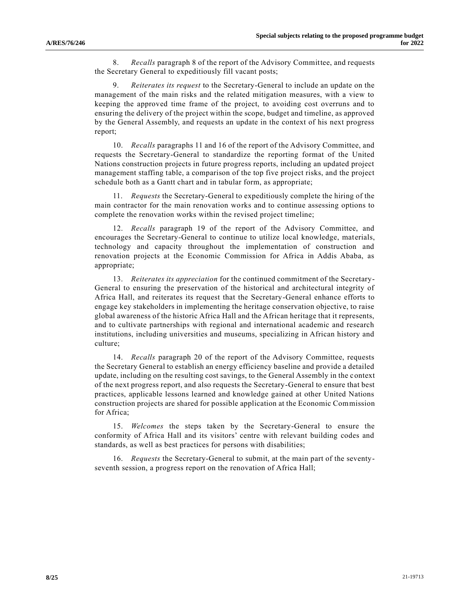8. *Recalls* paragraph 8 of the report of the Advisory Committee, and requests the Secretary General to expeditiously fill vacant posts;

9. *Reiterates its request* to the Secretary-General to include an update on the management of the main risks and the related mitigation measures, with a view to keeping the approved time frame of the project, to avoiding cost overruns and to ensuring the delivery of the project within the scope, budget and timeline, as approved by the General Assembly, and requests an update in the context of his next progress report;

10. *Recalls* paragraphs 11 and 16 of the report of the Advisory Committee, and requests the Secretary-General to standardize the reporting format of the United Nations construction projects in future progress reports, including an updated project management staffing table, a comparison of the top five project risks, and the project schedule both as a Gantt chart and in tabular form, as appropriate;

11. *Requests* the Secretary-General to expeditiously complete the hiring of the main contractor for the main renovation works and to continue assessing options to complete the renovation works within the revised project timeline;

12. *Recalls* paragraph 19 of the report of the Advisory Committee, and encourages the Secretary-General to continue to utilize local knowledge, materials, technology and capacity throughout the implementation of construction and renovation projects at the Economic Commission for Africa in Addis Ababa, as appropriate;

13. *Reiterates its appreciation* for the continued commitment of the Secretary-General to ensuring the preservation of the historical and architectural integrity of Africa Hall, and reiterates its request that the Secretary-General enhance efforts to engage key stakeholders in implementing the heritage conservation objective, to raise global awareness of the historic Africa Hall and the African heritage that it represents, and to cultivate partnerships with regional and international academic and research institutions, including universities and museums, specializing in African history and culture;

14. *Recalls* paragraph 20 of the report of the Advisory Committee, requests the Secretary General to establish an energy efficiency baseline and provide a detailed update, including on the resulting cost savings, to the General Assembly in the context of the next progress report, and also requests the Secretary-General to ensure that best practices, applicable lessons learned and knowledge gained at other United Nations construction projects are shared for possible application at the Economic Commission for Africa;

15. *Welcomes* the steps taken by the Secretary-General to ensure the conformity of Africa Hall and its visitors' centre with relevant building codes and standards, as well as best practices for persons with disabilities;

16. *Requests* the Secretary-General to submit, at the main part of the seventyseventh session, a progress report on the renovation of Africa Hall;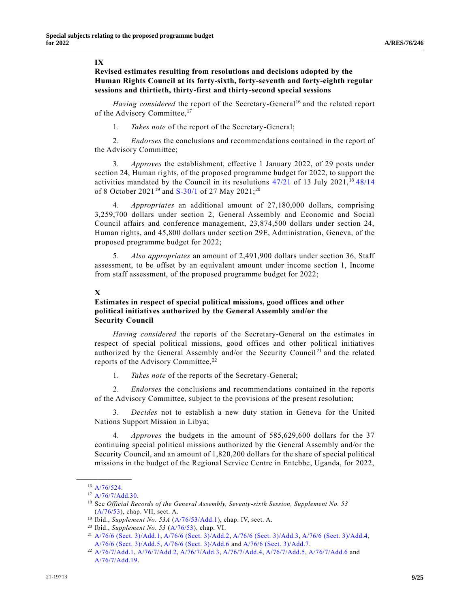#### **IX**

## **Revised estimates resulting from resolutions and decisions adopted by the Human Rights Council at its forty-sixth, forty-seventh and forty-eighth regular sessions and thirtieth, thirty-first and thirty-second special sessions**

Having considered the report of the Secretary-General<sup>16</sup> and the related report of the Advisory Committee,<sup>17</sup>

1. *Takes note* of the report of the Secretary-General;

2. *Endorses* the conclusions and recommendations contained in the report of the Advisory Committee;

3. *Approves* the establishment, effective 1 January 2022, of 29 posts under section 24, Human rights, of the proposed programme budget for 2022, to support the activities mandated by the Council in its resolutions  $47/21$  of 13 July 2021,<sup>18</sup>  $48/14$ of 8 October 2021<sup>19</sup> and [S-30/1](https://undocs.org/en/A/HRC/RES/S-30/1) of 27 May 2021;<sup>20</sup>

4. *Appropriates* an additional amount of 27,180,000 dollars, comprising 3,259,700 dollars under section 2, General Assembly and Economic and Social Council affairs and conference management, 23,874,500 dollars under section 24, Human rights, and 45,800 dollars under section 29E, Administration, Geneva, of the proposed programme budget for 2022;

5. *Also appropriates* an amount of 2,491,900 dollars under section 36, Staff assessment, to be offset by an equivalent amount under income section 1, Income from staff assessment, of the proposed programme budget for 2022;

## **X**

## **Estimates in respect of special political missions, good offices and other political initiatives authorized by the General Assembly and/or the Security Council**

*Having considered* the reports of the Secretary-General on the estimates in respect of special political missions, good offices and other political initiatives authorized by the General Assembly and/or the Security Council<sup>21</sup> and the related reports of the Advisory Committee,<sup>22</sup>

1. *Takes note* of the reports of the Secretary-General;

2. *Endorses* the conclusions and recommendations contained in the reports of the Advisory Committee, subject to the provisions of the present resolution;

3. *Decides* not to establish a new duty station in Geneva for the United Nations Support Mission in Libya;

4. *Approves* the budgets in the amount of 585,629,600 dollars for the 37 continuing special political missions authorized by the General Assembly and/or the Security Council, and an amount of 1,820,200 dollars for the share of special political missions in the budget of the Regional Service Centre in Entebbe, Uganda, for 2022,

**\_\_\_\_\_\_\_\_\_\_\_\_\_\_\_\_\_\_** <sup>16</sup> [A/76/524.](https://undocs.org/en/A/76/524)

<sup>17</sup> [A/76/7/Add.30.](https://undocs.org/en/A/76/7/Add.30) 

<sup>18</sup> See *Official Records of the General Assembly, Seventy-sixth Session, Supplement No. 53* [\(A/76/53\)](https://undocs.org/en/A/76/53), chap. VII, sect. A.

<sup>19</sup> Ibid., *Supplement No. 53A* [\(A/76/53/Add.1\)](https://undocs.org/en/A/76/53/Add.1), chap. IV, sect. A.

<sup>20</sup> Ibid., *Supplement No. 53* [\(A/76/53\)](https://undocs.org/en/A/76/53), chap. VI.

<sup>21</sup> [A/76/6 \(Sect. 3\)/Add.1,](https://undocs.org/en/A/76/6(Sect.3)/Add.1) [A/76/6 \(Sect. 3\)/Add.2,](https://undocs.org/en/A/76/6(Sect.3)/Add.2) [A/76/6 \(Sect. 3\)/Add.3,](https://undocs.org/en/A/76/6(Sect.3)/Add.3) [A/76/6 \(Sect. 3\)/Add.4,](https://undocs.org/en/A/76/6(Sect.3)/Add.4)  [A/76/6 \(Sect. 3\)/Add.5,](https://undocs.org/en/A/76/6(Sect.3)/Add.5) [A/76/6 \(Sect. 3\)/Add.6](https://undocs.org/en/A/76/6(Sect.3)/Add.6) and [A/76/6 \(Sect. 3\)/Add.7.](https://undocs.org/en/A/76/6(Sect.3)/Add.7)

<sup>22</sup> [A/76/7/Add.1,](https://undocs.org/en/A/76/7/Add.1) [A/76/7/Add.2,](https://undocs.org/en/A/76/7/Add.2) [A/76/7/Add.3,](https://undocs.org/en/A/76/7/Add.3) [A/76/7/Add.4,](https://undocs.org/en/A/76/7/Add.4) [A/76/7/Add.5,](https://undocs.org/en/A/76/7/Add.5) [A/76/7/Add.6](https://undocs.org/en/A/76/7/Add.6) and [A/76/7/Add.19.](https://undocs.org/en/A/76/7/Add.19)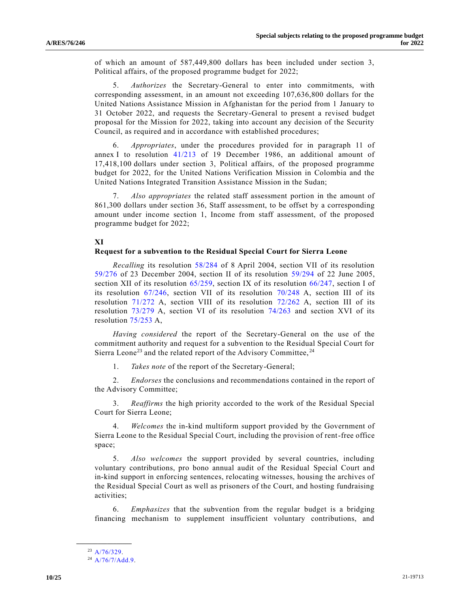of which an amount of 587,449,800 dollars has been included under section 3, Political affairs, of the proposed programme budget for 2022;

5. *Authorizes* the Secretary-General to enter into commitments, with corresponding assessment, in an amount not exceeding 107,636,800 dollars for the United Nations Assistance Mission in Afghanistan for the period from 1 January to 31 October 2022, and requests the Secretary-General to present a revised budget proposal for the Mission for 2022, taking into account any decision of the Security Council, as required and in accordance with established procedures;

6. *Appropriates*, under the procedures provided for in paragraph 11 of annex I to resolution [41/213](https://undocs.org/en/A/RES/41/213) of 19 December 1986, an additional amount of 17,418,100 dollars under section 3, Political affairs, of the proposed programme budget for 2022, for the United Nations Verification Mission in Colombia and the United Nations Integrated Transition Assistance Mission in the Sudan;

7. *Also appropriates* the related staff assessment portion in the amount of 861,300 dollars under section 36, Staff assessment, to be offset by a corresponding amount under income section 1, Income from staff assessment, of the proposed programme budget for 2022;

#### **XI**

#### **Request for a subvention to the Residual Special Court for Sierra Leone**

*Recalling* its resolution [58/284](https://undocs.org/en/A/RES/58/284) of 8 April 2004, section VII of its resolution [59/276](https://undocs.org/en/A/RES/59/276) of 23 December 2004, section II of its resolution [59/294](https://undocs.org/en/A/RES/59/294) of 22 June 2005, section XII of its resolution [65/259,](https://undocs.org/en/A/RES/65/259) section IX of its resolution [66/247,](https://undocs.org/en/A/RES/66/247) section I of its resolution [67/246,](https://undocs.org/en/A/RES/67/246) section VII of its resolution [70/248](https://undocs.org/en/A/RES/70/248) A, section III of its resolution [71/272](https://undocs.org/en/A/RES/71/272) A, section VIII of its resolution [72/262](https://undocs.org/en/A/RES/72/262) A, section III of its resolution [73/279](https://undocs.org/en/A/RES/73/279) A, section VI of its resolution [74/263](https://undocs.org/en/A/RES/74/263) and section XVI of its resolution [75/253](https://undocs.org/en/A/RES/75/253) A,

*Having considered* the report of the Secretary-General on the use of the commitment authority and request for a subvention to the Residual Special Court for Sierra Leone<sup>23</sup> and the related report of the Advisory Committee,  $24$ 

1. *Takes note* of the report of the Secretary-General;

2. *Endorses* the conclusions and recommendations contained in the report of the Advisory Committee;

3. *Reaffirms* the high priority accorded to the work of the Residual Special Court for Sierra Leone;

4. *Welcomes* the in-kind multiform support provided by the Government of Sierra Leone to the Residual Special Court, including the provision of rent-free office space;

5. *Also welcomes* the support provided by several countries, including voluntary contributions, pro bono annual audit of the Residual Special Court and in-kind support in enforcing sentences, relocating witnesses, housing the archives of the Residual Special Court as well as prisoners of the Court, and hosting fundraising activities;

6. *Emphasizes* that the subvention from the regular budget is a bridging financing mechanism to supplement insufficient voluntary contributions, and

**\_\_\_\_\_\_\_\_\_\_\_\_\_\_\_\_\_\_** <sup>23</sup> [A/76/329.](https://undocs.org/en/A/76/329)

 $^{24}$  [A/76/7/Add.9.](https://undocs.org/en/A/76/7/Add.9)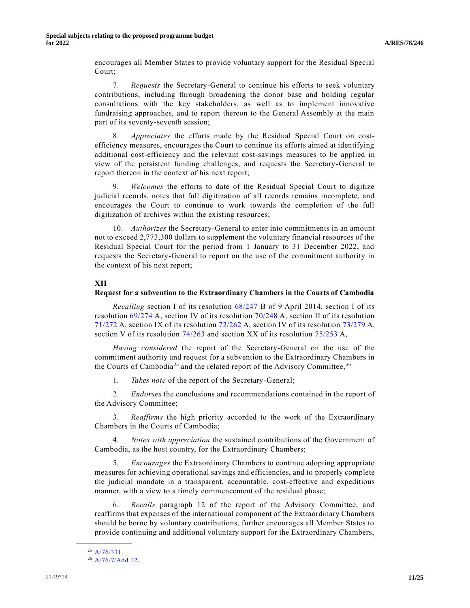encourages all Member States to provide voluntary support for the Residual Special Court;

7. *Requests* the Secretary-General to continue his efforts to seek voluntary contributions, including through broadening the donor base and holding regular consultations with the key stakeholders, as well as to implement innovative fundraising approaches, and to report thereon to the General Assembly at the main part of its seventy-seventh session;

8. *Appreciates* the efforts made by the Residual Special Court on costefficiency measures, encourages the Court to continue its efforts aimed at identifying additional cost-efficiency and the relevant cost-savings measures to be applied in view of the persistent funding challenges, and requests the Secretary-General to report thereon in the context of his next report;

9. *Welcomes* the efforts to date of the Residual Special Court to digitize judicial records, notes that full digitization of all records remains incomplete, and encourages the Court to continue to work towards the completion of the full digitization of archives within the existing resources;

10. *Authorizes* the Secretary-General to enter into commitments in an amount not to exceed 2,773,300 dollars to supplement the voluntary financial resources of the Residual Special Court for the period from 1 January to 31 December 2022, and requests the Secretary-General to report on the use of the commitment authority in the context of his next report;

## **XII**

#### **Request for a subvention to the Extraordinary Chambers in the Courts of Cambodia**

*Recalling* section I of its resolution [68/247](https://undocs.org/en/A/RES/68/247b) B of 9 April 2014, section I of its resolution [69/274](https://undocs.org/en/A/RES/69/274) A, section IV of its resolution [70/248](https://undocs.org/en/A/RES/70/248) A, section II of its resolution [71/272](https://undocs.org/en/A/RES/71/272) A, section IX of its resolution [72/262](https://undocs.org/en/A/RES/72/262) A, section IV of its resolution [73/279](https://undocs.org/en/A/RES/73/279) A, section V of its resolution [74/263](https://undocs.org/en/A/RES/74/263) and section XX of its resolution [75/253](https://undocs.org/en/A/RES/75/253) A,

*Having considered* the report of the Secretary-General on the use of the commitment authority and request for a subvention to the Extraordinary Chambers in the Courts of Cambodia<sup>25</sup> and the related report of the Advisory Committee,  $26$ 

1. *Takes note* of the report of the Secretary-General;

2. *Endorses* the conclusions and recommendations contained in the report of the Advisory Committee;

3. *Reaffirms* the high priority accorded to the work of the Extraordinary Chambers in the Courts of Cambodia;

4. *Notes with appreciation* the sustained contributions of the Government of Cambodia, as the host country, for the Extraordinary Chambers;

5. *Encourages* the Extraordinary Chambers to continue adopting appropriate measures for achieving operational savings and efficiencies, and to properly complete the judicial mandate in a transparent, accountable, cost-effective and expeditious manner, with a view to a timely commencement of the residual phase;

6. *Recalls* paragraph 12 of the report of the Advisory Committee, and reaffirms that expenses of the international component of the Extraordinary Chambers should be borne by voluntary contributions, further encourages all Member States to provide continuing and additional voluntary support for the Extraordinary Chambers,

**\_\_\_\_\_\_\_\_\_\_\_\_\_\_\_\_\_\_**  $^{25}$  [A/76/331.](https://undocs.org/en/A/76/331)

 $^{26}$  [A/76/7/Add.12.](https://undocs.org/en/A/76/7/Add.12)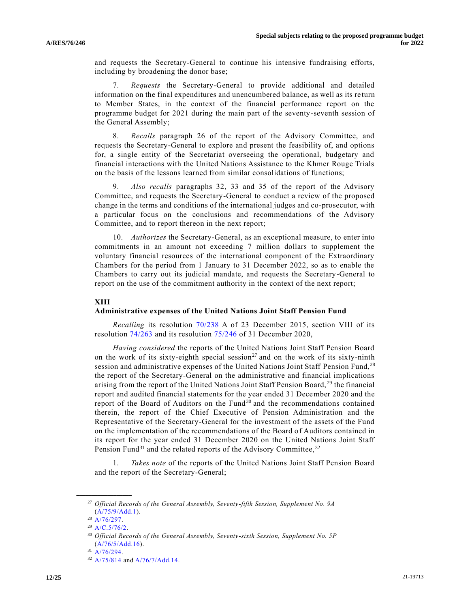and requests the Secretary-General to continue his intensive fundraising efforts, including by broadening the donor base;

7. *Requests* the Secretary-General to provide additional and detailed information on the final expenditures and unencumbered balance, as well as its re turn to Member States, in the context of the financial performance report on the programme budget for 2021 during the main part of the seventy-seventh session of the General Assembly;

8. *Recalls* paragraph 26 of the report of the Advisory Committee, and requests the Secretary-General to explore and present the feasibility of, and options for, a single entity of the Secretariat overseeing the operational, budgetary and financial interactions with the United Nations Assistance to the Khmer Rouge Trials on the basis of the lessons learned from similar consolidations of functions;

9. *Also recalls* paragraphs 32, 33 and 35 of the report of the Advisory Committee, and requests the Secretary-General to conduct a review of the proposed change in the terms and conditions of the international judges and co-prosecutor, with a particular focus on the conclusions and recommendations of the Advisory Committee, and to report thereon in the next report;

10. *Authorizes* the Secretary-General, as an exceptional measure, to enter into commitments in an amount not exceeding 7 million dollars to supplement the voluntary financial resources of the international component of the Extraordinary Chambers for the period from 1 January to 31 December 2022, so as to enable the Chambers to carry out its judicial mandate, and requests the Secretary-General to report on the use of the commitment authority in the context of the next report;

## **XIII**

#### **Administrative expenses of the United Nations Joint Staff Pension Fund**

*Recalling* its resolution [70/238](https://undocs.org/en/A/RES/70/238) A of 23 December 2015, section VIII of its resolution [74/263](https://undocs.org/en/A/RES/74/263) and its resolution [75/246](https://undocs.org/en/A/RES/75/246) of 31 December 2020,

*Having considered* the reports of the United Nations Joint Staff Pension Board on the work of its sixty-eighth special session<sup>27</sup> and on the work of its sixty-ninth session and administrative expenses of the United Nations Joint Staff Pension Fund,<sup>28</sup> the report of the Secretary-General on the administrative and financial implications arising from the report of the United Nations Joint Staff Pension Board, <sup>29</sup> the financial report and audited financial statements for the year ended 31 December 2020 and the report of the Board of Auditors on the Fund<sup>30</sup> and the recommendations contained therein, the report of the Chief Executive of Pension Administration and the Representative of the Secretary-General for the investment of the assets of the Fund on the implementation of the recommendations of the Board of Auditors contained in its report for the year ended 31 December 2020 on the United Nations Joint Staff Pension Fund<sup>31</sup> and the related reports of the Advisory Committee,  $32$ 

1. *Takes note* of the reports of the United Nations Joint Staff Pension Board and the report of the Secretary-General;

**\_\_\_\_\_\_\_\_\_\_\_\_\_\_\_\_\_\_**

<sup>27</sup> *Official Records of the General Assembly, Seventy-fifth Session, Supplement No. 9A* [\(A/75/9/Add.1\)](https://undocs.org/en/A/75/9/Add.1).

<sup>28</sup> [A/76/297.](https://undocs.org/en/A/76/297)

<sup>29</sup> [A/C.5/76/2.](https://undocs.org/en/A/C.5/76/2)

<sup>30</sup> *Official Records of the General Assembly, Seventy-sixth Session, Supplement No. 5P* [\(A/76/5/Add.16\)](https://undocs.org/en/A/76/5/Add.16).

 $31$  [A/76/294.](https://undocs.org/en/A/76/294)

<sup>32</sup> [A/75/814](https://undocs.org/en/A/75/814) and [A/76/7/Add.14.](https://undocs.org/en/A/76/7/Add.14)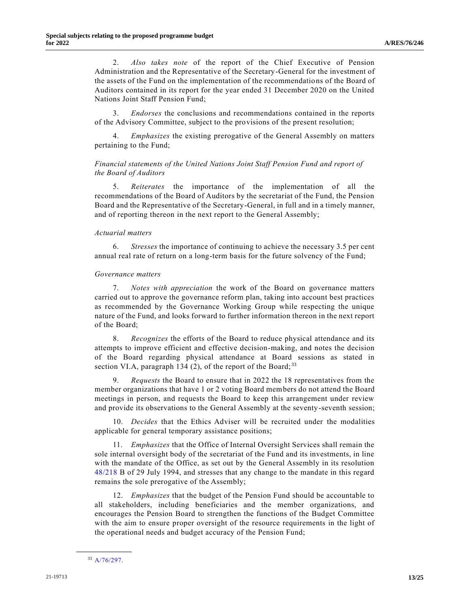2. *Also takes note* of the report of the Chief Executive of Pension Administration and the Representative of the Secretary-General for the investment of the assets of the Fund on the implementation of the recommendations of the Board of Auditors contained in its report for the year ended 31 December 2020 on the United Nations Joint Staff Pension Fund;

3. *Endorses* the conclusions and recommendations contained in the reports of the Advisory Committee, subject to the provisions of the present resolution;

4. *Emphasizes* the existing prerogative of the General Assembly on matters pertaining to the Fund;

## *Financial statements of the United Nations Joint Staff Pension Fund and report of the Board of Auditors*

5. *Reiterates* the importance of the implementation of all the recommendations of the Board of Auditors by the secretariat of the Fund, the Pension Board and the Representative of the Secretary-General, in full and in a timely manner, and of reporting thereon in the next report to the General Assembly;

#### *Actuarial matters*

6. *Stresses* the importance of continuing to achieve the necessary 3.5 per cent annual real rate of return on a long-term basis for the future solvency of the Fund;

#### *Governance matters*

7. *Notes with appreciation* the work of the Board on governance matters carried out to approve the governance reform plan, taking into account best practices as recommended by the Governance Working Group while respecting the unique nature of the Fund, and looks forward to further information thereon in the next report of the Board;

8. *Recognizes* the efforts of the Board to reduce physical attendance and its attempts to improve efficient and effective decision-making, and notes the decision of the Board regarding physical attendance at Board sessions as stated in section VI.A, paragraph 134 (2), of the report of the Board;<sup>33</sup>

9. *Requests* the Board to ensure that in 2022 the 18 representatives from the member organizations that have 1 or 2 voting Board members do not attend the Board meetings in person, and requests the Board to keep this arrangement under review and provide its observations to the General Assembly at the seventy-seventh session;

10. *Decides* that the Ethics Adviser will be recruited under the modalities applicable for general temporary assistance positions;

11. *Emphasizes* that the Office of Internal Oversight Services shall remain the sole internal oversight body of the secretariat of the Fund and its investments, in line with the mandate of the Office, as set out by the General Assembly in its resolution [48/218](https://undocs.org/en/A/RES/48/218b) B of 29 July 1994, and stresses that any change to the mandate in this regard remains the sole prerogative of the Assembly;

12. *Emphasizes* that the budget of the Pension Fund should be accountable to all stakeholders, including beneficiaries and the member organizations, and encourages the Pension Board to strengthen the functions of the Budget Committee with the aim to ensure proper oversight of the resource requirements in the light of the operational needs and budget accuracy of the Pension Fund;

**\_\_\_\_\_\_\_\_\_\_\_\_\_\_\_\_\_\_** <sup>33</sup> [A/76/297.](https://undocs.org/en/A/76/297)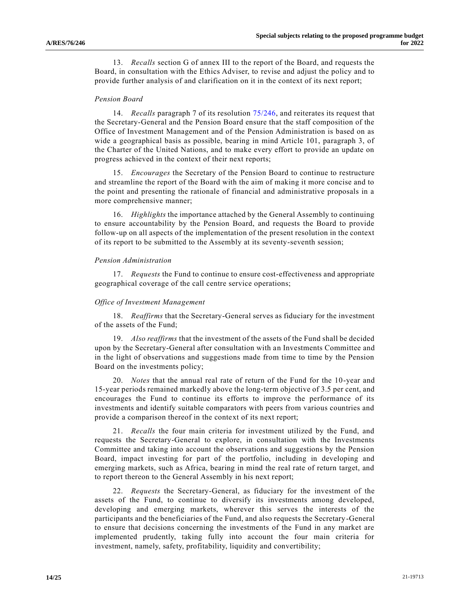13. *Recalls* section G of annex III to the report of the Board, and requests the Board, in consultation with the Ethics Adviser, to revise and adjust the policy and to provide further analysis of and clarification on it in the context of its next report;

#### *Pension Board*

14. *Recalls* paragraph 7 of its resolution [75/246,](https://undocs.org/en/A/RES/75/246) and reiterates its request that the Secretary-General and the Pension Board ensure that the staff composition of the Office of Investment Management and of the Pension Administration is based on as wide a geographical basis as possible, bearing in mind Article 101, paragraph 3, of the Charter of the United Nations, and to make every effort to provide an update on progress achieved in the context of their next reports;

15. *Encourages* the Secretary of the Pension Board to continue to restructure and streamline the report of the Board with the aim of making it more concise and to the point and presenting the rationale of financial and administrative proposals in a more comprehensive manner;

16. *Highlights* the importance attached by the General Assembly to continuing to ensure accountability by the Pension Board, and requests the Board to provide follow-up on all aspects of the implementation of the present resolution in the context of its report to be submitted to the Assembly at its seventy-seventh session;

#### *Pension Administration*

17. *Requests* the Fund to continue to ensure cost-effectiveness and appropriate geographical coverage of the call centre service operations;

#### *Office of Investment Management*

18. *Reaffirms* that the Secretary-General serves as fiduciary for the investment of the assets of the Fund;

19. *Also reaffirms* that the investment of the assets of the Fund shall be decided upon by the Secretary-General after consultation with an Investments Committee and in the light of observations and suggestions made from time to time by the Pension Board on the investments policy;

20. *Notes* that the annual real rate of return of the Fund for the 10-year and 15-year periods remained markedly above the long-term objective of 3.5 per cent, and encourages the Fund to continue its efforts to improve the performance of its investments and identify suitable comparators with peers from various countries and provide a comparison thereof in the context of its next report;

21. *Recalls* the four main criteria for investment utilized by the Fund, and requests the Secretary-General to explore, in consultation with the Investments Committee and taking into account the observations and suggestions by the Pension Board, impact investing for part of the portfolio, including in developing and emerging markets, such as Africa, bearing in mind the real rate of return target, and to report thereon to the General Assembly in his next report;

22. *Requests* the Secretary-General, as fiduciary for the investment of the assets of the Fund, to continue to diversify its investments among developed, developing and emerging markets, wherever this serves the interests of the participants and the beneficiaries of the Fund, and also requests the Secretary-General to ensure that decisions concerning the investments of the Fund in any market are implemented prudently, taking fully into account the four main criteria for investment, namely, safety, profitability, liquidity and convertibility;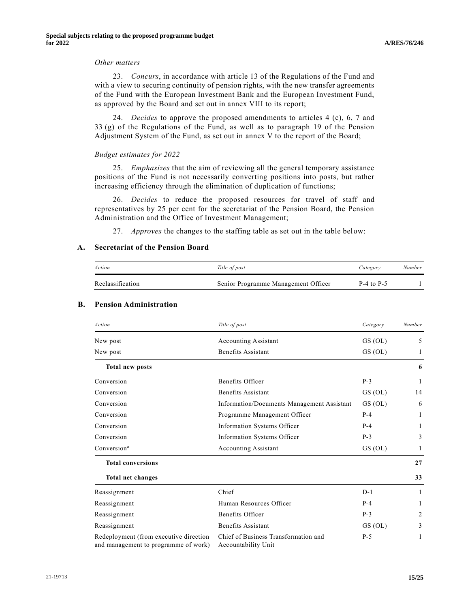#### *Other matters*

23. *Concurs*, in accordance with article 13 of the Regulations of the Fund and with a view to securing continuity of pension rights, with the new transfer agreements of the Fund with the European Investment Bank and the European Investment Fund, as approved by the Board and set out in annex VIII to its report;

24. *Decides* to approve the proposed amendments to articles 4 (c), 6, 7 and 33 (g) of the Regulations of the Fund, as well as to paragraph 19 of the Pension Adjustment System of the Fund, as set out in annex V to the report of the Board;

#### *Budget estimates for 2022*

25. *Emphasizes* that the aim of reviewing all the general temporary assistance positions of the Fund is not necessarily converting positions into posts, but rather increasing efficiency through the elimination of duplication of functions;

26. *Decides* to reduce the proposed resources for travel of staff and representatives by 25 per cent for the secretariat of the Pension Board, the Pension Administration and the Office of Investment Management;

27. *Approves* the changes to the staffing table as set out in the table below:

#### **A. Secretariat of the Pension Board**

| Action           | Title of post                       | Category       | Number |
|------------------|-------------------------------------|----------------|--------|
| Reclassification | Senior Programme Management Officer | $P-4$ to $P-5$ |        |

| Action                                                                         | Title of post                                               | Category | Number |
|--------------------------------------------------------------------------------|-------------------------------------------------------------|----------|--------|
| New post                                                                       | <b>Accounting Assistant</b>                                 | GS(OL)   | 5      |
| New post                                                                       | Benefits Assistant                                          | GS (OL)  | 1      |
| <b>Total new posts</b>                                                         |                                                             |          | 6      |
| Conversion                                                                     | Benefits Officer                                            | $P-3$    | -1     |
| Conversion                                                                     | Benefits Assistant                                          | GS (OL)  | 14     |
| Conversion                                                                     | Information/Documents Management Assistant                  | GS (OL)  | 6      |
| Conversion                                                                     | Programme Management Officer                                | $P-4$    | 1      |
| Conversion                                                                     | Information Systems Officer                                 | $P-4$    | 1      |
| Conversion                                                                     | Information Systems Officer                                 | $P-3$    | 3      |
| Conversion <sup><math>a</math></sup>                                           | <b>Accounting Assistant</b>                                 | GS (OL)  | 1      |
| <b>Total conversions</b>                                                       |                                                             |          | 27     |
| <b>Total net changes</b>                                                       |                                                             |          | 33     |
| Reassignment                                                                   | Chief                                                       | $D-1$    | 1      |
| Reassignment                                                                   | Human Resources Officer                                     | $P-4$    | 1      |
| Reassignment                                                                   | Benefits Officer                                            | $P-3$    | 2      |
| Reassignment                                                                   | <b>Benefits Assistant</b>                                   | GS(OL)   | 3      |
| Redeployment (from executive direction<br>and management to programme of work) | Chief of Business Transformation and<br>Accountability Unit | $P-5$    | 1      |

#### **B. Pension Administration**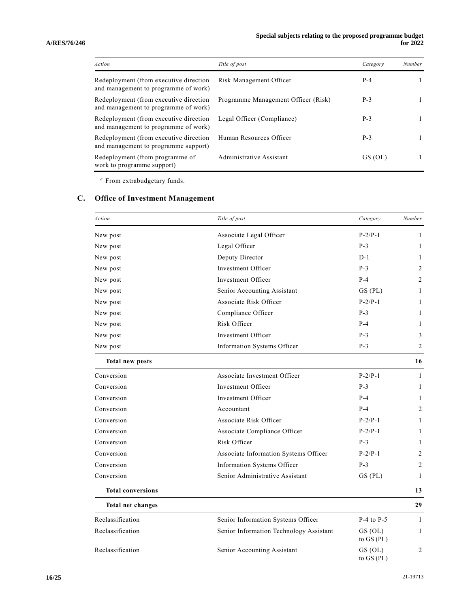| Action                                                                         | Title of post                       | Category | Number |
|--------------------------------------------------------------------------------|-------------------------------------|----------|--------|
| Redeployment (from executive direction<br>and management to programme of work) | Risk Management Officer             | $P-4$    |        |
| Redeployment (from executive direction<br>and management to programme of work) | Programme Management Officer (Risk) | $P-3$    |        |
| Redeployment (from executive direction<br>and management to programme of work) | Legal Officer (Compliance)          | $P-3$    |        |
| Redeployment (from executive direction<br>and management to programme support) | Human Resources Officer             | $P-3$    |        |
| Redeployment (from programme of<br>work to programme support)                  | Administrative Assistant            | GS (OL)  |        |

*<sup>a</sup>* From extrabudgetary funds.

## **C. Office of Investment Management**

| Action                   | Title of post                           | Category                    | Number       |
|--------------------------|-----------------------------------------|-----------------------------|--------------|
| New post                 | Associate Legal Officer                 | $P-2/P-1$                   | 1            |
| New post                 | Legal Officer                           | $P-3$                       | 1            |
| New post                 | Deputy Director                         | $D-1$                       | 1            |
| New post                 | Investment Officer                      | $P-3$                       | 2            |
| New post                 | Investment Officer                      | $P-4$                       | 2            |
| New post                 | Senior Accounting Assistant             | $GS$ (PL)                   | 1            |
| New post                 | Associate Risk Officer                  | $P-2/P-1$                   | 1            |
| New post                 | Compliance Officer                      | $P-3$                       | 1            |
| New post                 | Risk Officer                            | $P-4$                       | 1            |
| New post                 | Investment Officer                      | $P-3$                       | 3            |
| New post                 | Information Systems Officer             | $P-3$                       | 2            |
| <b>Total new posts</b>   |                                         |                             | 16           |
| Conversion               | Associate Investment Officer            | $P-2/P-1$                   | 1            |
| Conversion               | Investment Officer                      | $P-3$                       | 1            |
| Conversion               | Investment Officer                      | $P-4$                       | 1            |
| Conversion               | Accountant                              | $P-4$                       | 2            |
| Conversion               | Associate Risk Officer                  | $P-2/P-1$                   | 1            |
| Conversion               | Associate Compliance Officer            | $P-2/P-1$                   | 1            |
| Conversion               | Risk Officer                            | $P-3$                       | 1            |
| Conversion               | Associate Information Systems Officer   | $P-2/P-1$                   | 2            |
| Conversion               | Information Systems Officer             | $P-3$                       | 2            |
| Conversion               | Senior Administrative Assistant         | GS (PL)                     | 1            |
| <b>Total conversions</b> |                                         |                             | 13           |
| Total net changes        |                                         |                             | 29           |
| Reclassification         | Senior Information Systems Officer      | $P-4$ to $P-5$              | $\mathbf{1}$ |
| Reclassification         | Senior Information Technology Assistant | GS (OL)<br>to $GS$ ( $PL$ ) | 1            |
| Reclassification         | Senior Accounting Assistant             | GS (OL)<br>to $GS$ ( $PL$ ) | 2            |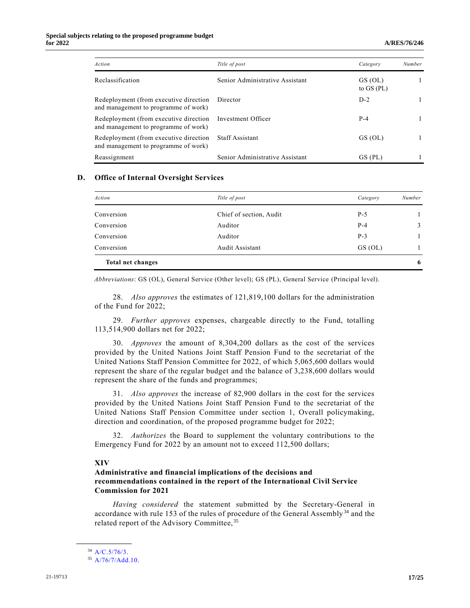| Action                                                                         | Title of post                   | Category                | Number |
|--------------------------------------------------------------------------------|---------------------------------|-------------------------|--------|
| Reclassification                                                               | Senior Administrative Assistant | GS (OL)<br>to $GS$ (PL) |        |
| Redeployment (from executive direction<br>and management to programme of work) | Director                        | $D-2$                   |        |
| Redeployment (from executive direction<br>and management to programme of work) | Investment Officer              | $P-4$                   |        |
| Redeployment (from executive direction<br>and management to programme of work) | <b>Staff Assistant</b>          | GS (OL)                 |        |
| Reassignment                                                                   | Senior Administrative Assistant | GS (PL)                 |        |

#### **D. Office of Internal Oversight Services**

| Action            | Title of post           | Category | Number |
|-------------------|-------------------------|----------|--------|
| Conversion        | Chief of section, Audit | $P-5$    |        |
| Conversion        | Auditor                 | $P-4$    | 3      |
| Conversion        | Auditor                 | $P-3$    |        |
| Conversion        | Audit Assistant         | GS (OL)  |        |
| Total net changes |                         |          | 6      |

*Abbreviations*: GS (OL), General Service (Other level); GS (PL), General Service (Principal level).

28. *Also approves* the estimates of 121,819,100 dollars for the administration of the Fund for 2022;

29. *Further approves* expenses, chargeable directly to the Fund, totalling 113,514,900 dollars net for 2022;

30. *Approves* the amount of 8,304,200 dollars as the cost of the services provided by the United Nations Joint Staff Pension Fund to the secretariat of the United Nations Staff Pension Committee for 2022, of which 5,065,600 dollars would represent the share of the regular budget and the balance of 3,238,600 dollars would represent the share of the funds and programmes;

31. *Also approves* the increase of 82,900 dollars in the cost for the services provided by the United Nations Joint Staff Pension Fund to the secretariat of the United Nations Staff Pension Committee under section 1, Overall policymaking, direction and coordination, of the proposed programme budget for 2022;

32. *Authorizes* the Board to supplement the voluntary contributions to the Emergency Fund for 2022 by an amount not to exceed 112,500 dollars;

#### **XIV**

## **Administrative and financial implications of the decisions and recommendations contained in the report of the International Civil Service Commission for 2021**

*Having considered* the statement submitted by the Secretary-General in accordance with rule 153 of the rules of procedure of the General Assembly <sup>34</sup> and the related report of the Advisory Committee, <sup>35</sup>

**\_\_\_\_\_\_\_\_\_\_\_\_\_\_\_\_\_\_**

<sup>34</sup> [A/C.5/76/3.](https://undocs.org/en/A/C.5/76/3)

<sup>35</sup> [A/76/7/Add.10.](https://undocs.org/en/A/76/7/Add.10)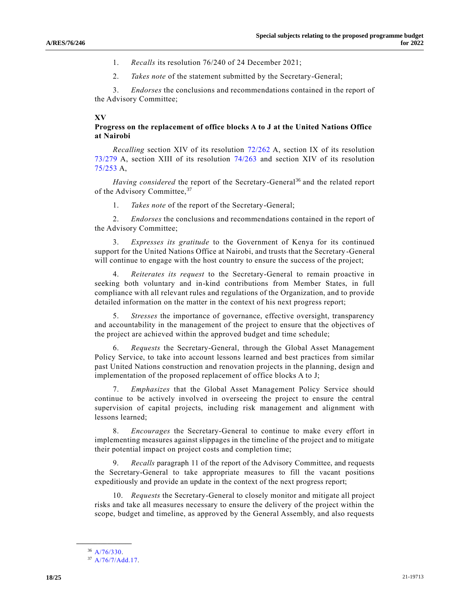- 1. *Recalls* its resolution 76/240 of 24 December 2021;
- 2. *Takes note* of the statement submitted by the Secretary-General;

3. *Endorses* the conclusions and recommendations contained in the report of the Advisory Committee;

### **XV**

## **Progress on the replacement of office blocks A to J at the United Nations Office at Nairobi**

*Recalling* section XIV of its resolution [72/262](https://undocs.org/en/A/RES/72/262) A, section IX of its resolution [73/279](https://undocs.org/en/A/RES/73/279) A, section XIII of its resolution [74/263](https://undocs.org/en/A/RES/74/263) and section XIV of its resolution [75/253](https://undocs.org/en/A/RES/75/253) A,

*Having considered* the report of the Secretary-General<sup>36</sup> and the related report of the Advisory Committee, 37

1. *Takes note* of the report of the Secretary-General;

2. *Endorses* the conclusions and recommendations contained in the report of the Advisory Committee;

3. *Expresses its gratitude* to the Government of Kenya for its continued support for the United Nations Office at Nairobi, and trusts that the Secretary-General will continue to engage with the host country to ensure the success of the project;

4. *Reiterates its request* to the Secretary-General to remain proactive in seeking both voluntary and in-kind contributions from Member States, in full compliance with all relevant rules and regulations of the Organization, and to provide detailed information on the matter in the context of his next progress report;

5. *Stresses* the importance of governance, effective oversight, transparency and accountability in the management of the project to ensure that the objectives of the project are achieved within the approved budget and time schedule;

6. *Requests* the Secretary-General, through the Global Asset Management Policy Service, to take into account lessons learned and best practices from similar past United Nations construction and renovation projects in the planning, design and implementation of the proposed replacement of office blocks A to J;

7. *Emphasizes* that the Global Asset Management Policy Service should continue to be actively involved in overseeing the project to ensure the central supervision of capital projects, including risk management and alignment with lessons learned;

8. *Encourages* the Secretary-General to continue to make every effort in implementing measures against slippages in the timeline of the project and to mitigate their potential impact on project costs and completion time;

9. *Recalls* paragraph 11 of the report of the Advisory Committee, and requests the Secretary-General to take appropriate measures to fill the vacant positions expeditiously and provide an update in the context of the next progress report;

10. *Requests* the Secretary-General to closely monitor and mitigate all project risks and take all measures necessary to ensure the delivery of the project within the scope, budget and timeline, as approved by the General Assembly, and also requests

**\_\_\_\_\_\_\_\_\_\_\_\_\_\_\_\_\_\_** <sup>36</sup> [A/76/330.](https://undocs.org/en/A/76/330)

<sup>37</sup> [A/76/7/Add.17.](https://undocs.org/en/A/76/7/Add.17)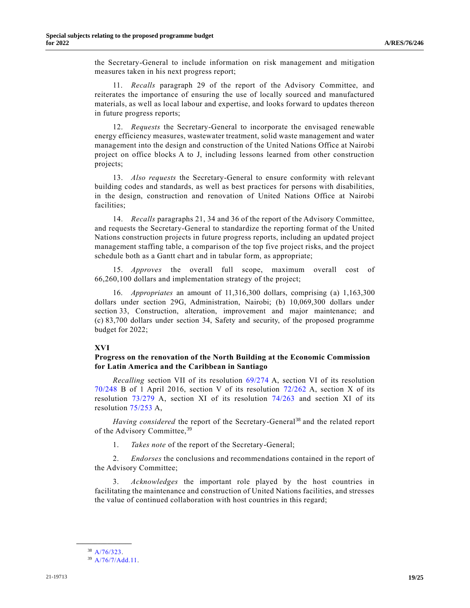the Secretary-General to include information on risk management and mitigation measures taken in his next progress report;

11. *Recalls* paragraph 29 of the report of the Advisory Committee, and reiterates the importance of ensuring the use of locally sourced and manufactured materials, as well as local labour and expertise, and looks forward to updates thereon in future progress reports;

12. *Requests* the Secretary-General to incorporate the envisaged renewable energy efficiency measures, wastewater treatment, solid waste management and water management into the design and construction of the United Nations Office at Nairobi project on office blocks A to J, including lessons learned from other construction projects;

13. *Also requests* the Secretary-General to ensure conformity with relevant building codes and standards, as well as best practices for persons with disabilities, in the design, construction and renovation of United Nations Office at Nairobi facilities;

14. *Recalls* paragraphs 21, 34 and 36 of the report of the Advisory Committee, and requests the Secretary-General to standardize the reporting format of the United Nations construction projects in future progress reports, including an updated project management staffing table, a comparison of the top five project risks, and the project schedule both as a Gantt chart and in tabular form, as appropriate;

15. *Approves* the overall full scope, maximum overall cost of 66,260,100 dollars and implementation strategy of the project;

16. *Appropriates* an amount of 11,316,300 dollars, comprising (a) 1,163,300 dollars under section 29G, Administration, Nairobi; (b) 10,069,300 dollars under section 33, Construction, alteration, improvement and major maintenance; and (c) 83,700 dollars under section 34, Safety and security, of the proposed programme budget for 2022;

## **XVI**

## **Progress on the renovation of the North Building at the Economic Commission for Latin America and the Caribbean in Santiago**

*Recalling* section VII of its resolution [69/274](https://undocs.org/en/A/RES/69/274) A, section VI of its resolution [70/248](https://undocs.org/en/A/RES/70/248b) B of 1 April 2016, section V of its resolution [72/262](https://undocs.org/en/A/RES/72/262) A, section X of its resolution [73/279](https://undocs.org/en/A/RES/73/279) A, section XI of its resolution [74/263](https://undocs.org/en/A/RES/74/263) and section XI of its resolution [75/253](https://undocs.org/en/A/RES/75/253) A,

Having considered the report of the Secretary-General<sup>38</sup> and the related report of the Advisory Committee,<sup>39</sup>

1. *Takes note* of the report of the Secretary-General;

2. *Endorses* the conclusions and recommendations contained in the report of the Advisory Committee;

3. *Acknowledges* the important role played by the host countries in facilitating the maintenance and construction of United Nations facilities, and stresses the value of continued collaboration with host countries in this regard;

**\_\_\_\_\_\_\_\_\_\_\_\_\_\_\_\_\_\_** <sup>38</sup> [A/76/323.](https://undocs.org/en/A/76/323)

<sup>39</sup> [A/76/7/Add.11.](https://undocs.org/en/A/76/7/Add.11)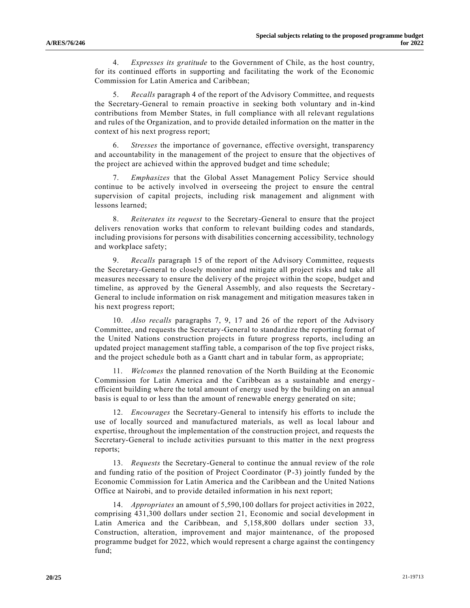4. *Expresses its gratitude* to the Government of Chile, as the host country, for its continued efforts in supporting and facilitating the work of the Economic Commission for Latin America and Caribbean;

5. *Recalls* paragraph 4 of the report of the Advisory Committee, and requests the Secretary-General to remain proactive in seeking both voluntary and in-kind contributions from Member States, in full compliance with all relevant regulations and rules of the Organization, and to provide detailed information on the matter in the context of his next progress report;

6. *Stresses* the importance of governance, effective oversight, transparency and accountability in the management of the project to ensure that the objectives of the project are achieved within the approved budget and time schedule;

7. *Emphasizes* that the Global Asset Management Policy Service should continue to be actively involved in overseeing the project to ensure the central supervision of capital projects, including risk management and alignment with lessons learned;

8. *Reiterates its request* to the Secretary-General to ensure that the project delivers renovation works that conform to relevant building codes and standards, including provisions for persons with disabilities concerning accessibility, technology and workplace safety;

9. *Recalls* paragraph 15 of the report of the Advisory Committee, requests the Secretary-General to closely monitor and mitigate all project risks and take all measures necessary to ensure the delivery of the project within the scope, budget and timeline, as approved by the General Assembly, and also requests the Secretary - General to include information on risk management and mitigation measures taken in his next progress report;

10. *Also recalls* paragraphs 7, 9, 17 and 26 of the report of the Advisory Committee, and requests the Secretary-General to standardize the reporting format of the United Nations construction projects in future progress reports, including an updated project management staffing table, a comparison of the top five project risks, and the project schedule both as a Gantt chart and in tabular form, as appropriate;

11. *Welcomes* the planned renovation of the North Building at the Economic Commission for Latin America and the Caribbean as a sustainable and energy efficient building where the total amount of energy used by the building on an annual basis is equal to or less than the amount of renewable energy generated on site;

12. *Encourages* the Secretary-General to intensify his efforts to include the use of locally sourced and manufactured materials, as well as local labour and expertise, throughout the implementation of the construction project, and requests the Secretary-General to include activities pursuant to this matter in the next progress reports;

13. *Requests* the Secretary-General to continue the annual review of the role and funding ratio of the position of Project Coordinator (P-3) jointly funded by the Economic Commission for Latin America and the Caribbean and the United Nations Office at Nairobi, and to provide detailed information in his next report;

14. *Appropriates* an amount of 5,590,100 dollars for project activities in 2022, comprising 431,300 dollars under section 21, Economic and social development in Latin America and the Caribbean, and 5,158,800 dollars under section 33, Construction, alteration, improvement and major maintenance, of the proposed programme budget for 2022, which would represent a charge against the contingency fund;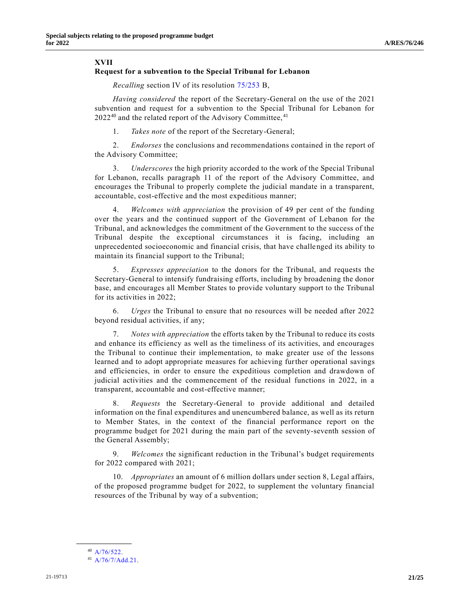#### **XVII**

#### **Request for a subvention to the Special Tribunal for Lebanon**

*Recalling* section IV of its resolution [75/253](https://undocs.org/en/A/RES/75/253b) B,

*Having considered* the report of the Secretary-General on the use of the 2021 subvention and request for a subvention to the Special Tribunal for Lebanon for  $2022^{40}$  and the related report of the Advisory Committee,  $41$ 

1. *Takes note* of the report of the Secretary-General;

2. *Endorses* the conclusions and recommendations contained in the report of the Advisory Committee;

3. *Underscores* the high priority accorded to the work of the Special Tribunal for Lebanon, recalls paragraph 11 of the report of the Advisory Committee, and encourages the Tribunal to properly complete the judicial mandate in a transparent, accountable, cost-effective and the most expeditious manner;

4. *Welcomes with appreciation* the provision of 49 per cent of the funding over the years and the continued support of the Government of Lebanon for the Tribunal, and acknowledges the commitment of the Government to the success of the Tribunal despite the exceptional circumstances it is facing, including an unprecedented socioeconomic and financial crisis, that have challenged its ability to maintain its financial support to the Tribunal;

5. *Expresses appreciation* to the donors for the Tribunal, and requests the Secretary-General to intensify fundraising efforts, including by broadening the donor base, and encourages all Member States to provide voluntary support to the Tribunal for its activities in 2022;

6. *Urges* the Tribunal to ensure that no resources will be needed after 2022 beyond residual activities, if any;

7. *Notes with appreciation* the efforts taken by the Tribunal to reduce its costs and enhance its efficiency as well as the timeliness of its activities, and encourages the Tribunal to continue their implementation, to make greater use of the lessons learned and to adopt appropriate measures for achieving further operational savings and efficiencies, in order to ensure the expeditious completion and drawdown of judicial activities and the commencement of the residual functions in 2022, in a transparent, accountable and cost-effective manner;

8. *Requests* the Secretary-General to provide additional and detailed information on the final expenditures and unencumbered balance, as well as its return to Member States, in the context of the financial performance report on the programme budget for 2021 during the main part of the seventy-seventh session of the General Assembly;

9. *Welcomes* the significant reduction in the Tribunal's budget requirements for 2022 compared with 2021;

10. *Appropriates* an amount of 6 million dollars under section 8, Legal affairs, of the proposed programme budget for 2022, to supplement the voluntary financial resources of the Tribunal by way of a subvention;

**\_\_\_\_\_\_\_\_\_\_\_\_\_\_\_\_\_\_** <sup>40</sup> [A/76/522.](https://undocs.org/en/A/76/522)

<sup>41</sup> [A/76/7/Add.21.](https://undocs.org/en/A/76/7/Add.21)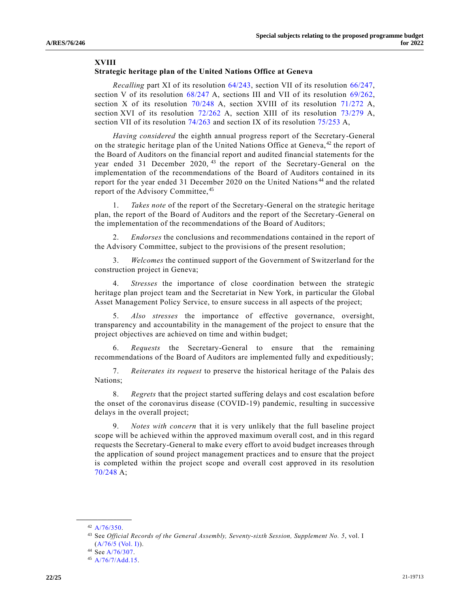#### **XVIII**

#### **Strategic heritage plan of the United Nations Office at Geneva**

*Recalling* part XI of its resolution [64/243,](https://undocs.org/en/A/RES/64/243) section VII of its resolution [66/247,](https://undocs.org/en/A/RES/66/247) section V of its resolution [68/247](https://undocs.org/en/A/RES/68/247) A, sections III and VII of its resolution [69/262,](https://undocs.org/en/A/RES/69/262) section X of its resolution [70/248](https://undocs.org/en/A/RES/70/248) A, section XVIII of its resolution [71/272](https://undocs.org/en/A/RES/71/272) A, section XVI of its resolution [72/262](https://undocs.org/en/A/RES/72/262) A, section XIII of its resolution [73/279](https://undocs.org/en/A/RES/73/279) A, section VII of its resolution [74/263](https://undocs.org/en/A/RES/74/263) and section IX of its resolution [75/253](https://undocs.org/en/A/RES/75/253) A,

*Having considered* the eighth annual progress report of the Secretary-General on the strategic heritage plan of the United Nations Office at Geneva,<sup>42</sup> the report of the Board of Auditors on the financial report and audited financial statements for the year ended 31 December 2020, <sup>43</sup> the report of the Secretary-General on the implementation of the recommendations of the Board of Auditors contained in its report for the year ended 31 December 2020 on the United Nations <sup>44</sup> and the related report of the Advisory Committee, 45

1. *Takes note* of the report of the Secretary-General on the strategic heritage plan, the report of the Board of Auditors and the report of the Secretary-General on the implementation of the recommendations of the Board of Auditors;

2. *Endorses* the conclusions and recommendations contained in the report of the Advisory Committee, subject to the provisions of the present resolution;

3. *Welcomes* the continued support of the Government of Switzerland for the construction project in Geneva;

4. *Stresses* the importance of close coordination between the strategic heritage plan project team and the Secretariat in New York, in particular the Global Asset Management Policy Service, to ensure success in all aspects of the project;

5. *Also stresses* the importance of effective governance, oversight, transparency and accountability in the management of the project to ensure that the project objectives are achieved on time and within budget;

6. *Requests* the Secretary-General to ensure that the remaining recommendations of the Board of Auditors are implemented fully and expeditiously;

7. *Reiterates its request* to preserve the historical heritage of the Palais des Nations;

8. *Regrets* that the project started suffering delays and cost escalation before the onset of the coronavirus disease (COVID-19) pandemic, resulting in successive delays in the overall project;

9. *Notes with concern* that it is very unlikely that the full baseline project scope will be achieved within the approved maximum overall cost, and in this regard requests the Secretary-General to make every effort to avoid budget increases through the application of sound project management practices and to ensure that the project is completed within the project scope and overall cost approved in its resolution [70/248](https://undocs.org/en/A/RES/70/248) A;

**\_\_\_\_\_\_\_\_\_\_\_\_\_\_\_\_\_\_**  $42$  [A/76/350.](https://undocs.org/en/A/76/350)

<sup>43</sup> See *Official Records of the General Assembly, Seventy-sixth Session, Supplement No. 5*, vol. I [\(A/76/5 \(Vol. I\)\)](https://undocs.org/en/A/76/5(Vol.I)).

<sup>44</sup> Se[e A/76/307.](https://undocs.org/en/A/76/307)

<sup>45</sup> [A/76/7/Add.15.](https://undocs.org/en/A/76/7/Add.15)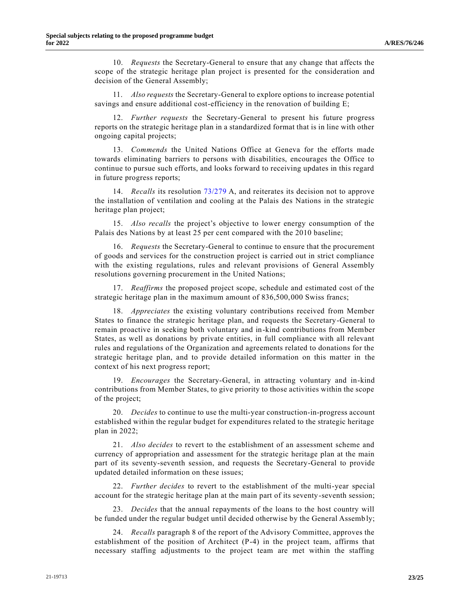10. *Requests* the Secretary-General to ensure that any change that affects the scope of the strategic heritage plan project is presented for the consideration and decision of the General Assembly;

11. *Also requests* the Secretary-General to explore options to increase potential savings and ensure additional cost-efficiency in the renovation of building E;

12. *Further requests* the Secretary-General to present his future progress reports on the strategic heritage plan in a standardized format that is in line with other ongoing capital projects;

13. *Commends* the United Nations Office at Geneva for the efforts made towards eliminating barriers to persons with disabilities, encourages the Office to continue to pursue such efforts, and looks forward to receiving updates in this regard in future progress reports;

14. *Recalls* its resolution [73/279](https://undocs.org/en/A/RES/73/279) A, and reiterates its decision not to approve the installation of ventilation and cooling at the Palais des Nations in the strategic heritage plan project;

15. *Also recalls* the project's objective to lower energy consumption of the Palais des Nations by at least 25 per cent compared with the 2010 baseline;

16. *Requests* the Secretary-General to continue to ensure that the procurement of goods and services for the construction project is carried out in strict compliance with the existing regulations, rules and relevant provisions of General Assembly resolutions governing procurement in the United Nations;

17. *Reaffirms* the proposed project scope, schedule and estimated cost of the strategic heritage plan in the maximum amount of 836,500,000 Swiss francs;

18. *Appreciates* the existing voluntary contributions received from Member States to finance the strategic heritage plan, and requests the Secretary-General to remain proactive in seeking both voluntary and in-kind contributions from Member States, as well as donations by private entities, in full compliance with all relevant rules and regulations of the Organization and agreements related to donations for the strategic heritage plan, and to provide detailed information on this matter in the context of his next progress report;

19. *Encourages* the Secretary-General, in attracting voluntary and in-kind contributions from Member States, to give priority to those activities within the scope of the project;

20. *Decides* to continue to use the multi-year construction-in-progress account established within the regular budget for expenditures related to the strategic heritage plan in 2022;

21. *Also decides* to revert to the establishment of an assessment scheme and currency of appropriation and assessment for the strategic heritage plan at the main part of its seventy-seventh session, and requests the Secretary-General to provide updated detailed information on these issues;

22. *Further decides* to revert to the establishment of the multi-year special account for the strategic heritage plan at the main part of its seventy-seventh session;

23. *Decides* that the annual repayments of the loans to the host country will be funded under the regular budget until decided otherwise by the General Assemb ly;

24. *Recalls* paragraph 8 of the report of the Advisory Committee, approves the establishment of the position of Architect (P-4) in the project team, affirms that necessary staffing adjustments to the project team are met within the staffing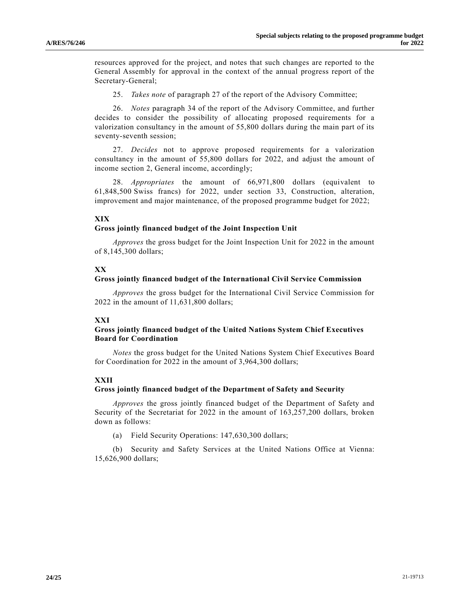resources approved for the project, and notes that such changes are reported to the General Assembly for approval in the context of the annual progress report of the Secretary-General;

25. *Takes note* of paragraph 27 of the report of the Advisory Committee;

26. *Notes* paragraph 34 of the report of the Advisory Committee, and further decides to consider the possibility of allocating proposed requirements for a valorization consultancy in the amount of 55,800 dollars during the main part of its seventy-seventh session;

27. *Decides* not to approve proposed requirements for a valorization consultancy in the amount of 55,800 dollars for 2022, and adjust the amount of income section 2, General income, accordingly;

28. *Appropriates* the amount of 66,971,800 dollars (equivalent to 61,848,500 Swiss francs) for 2022, under section 33, Construction, alteration, improvement and major maintenance, of the proposed programme budget for 2022;

## **XIX**

#### **Gross jointly financed budget of the Joint Inspection Unit**

*Approves* the gross budget for the Joint Inspection Unit for 2022 in the amount of 8,145,300 dollars;

## **XX**

#### **Gross jointly financed budget of the International Civil Service Commission**

*Approves* the gross budget for the International Civil Service Commission for 2022 in the amount of 11,631,800 dollars;

## **XXI**

## **Gross jointly financed budget of the United Nations System Chief Executives Board for Coordination**

*Notes* the gross budget for the United Nations System Chief Executives Board for Coordination for 2022 in the amount of 3,964,300 dollars;

## **XXII**

## **Gross jointly financed budget of the Department of Safety and Security**

*Approves* the gross jointly financed budget of the Department of Safety and Security of the Secretariat for 2022 in the amount of 163,257,200 dollars, broken down as follows:

(a) Field Security Operations: 147,630,300 dollars;

(b) Security and Safety Services at the United Nations Office at Vienna: 15,626,900 dollars;